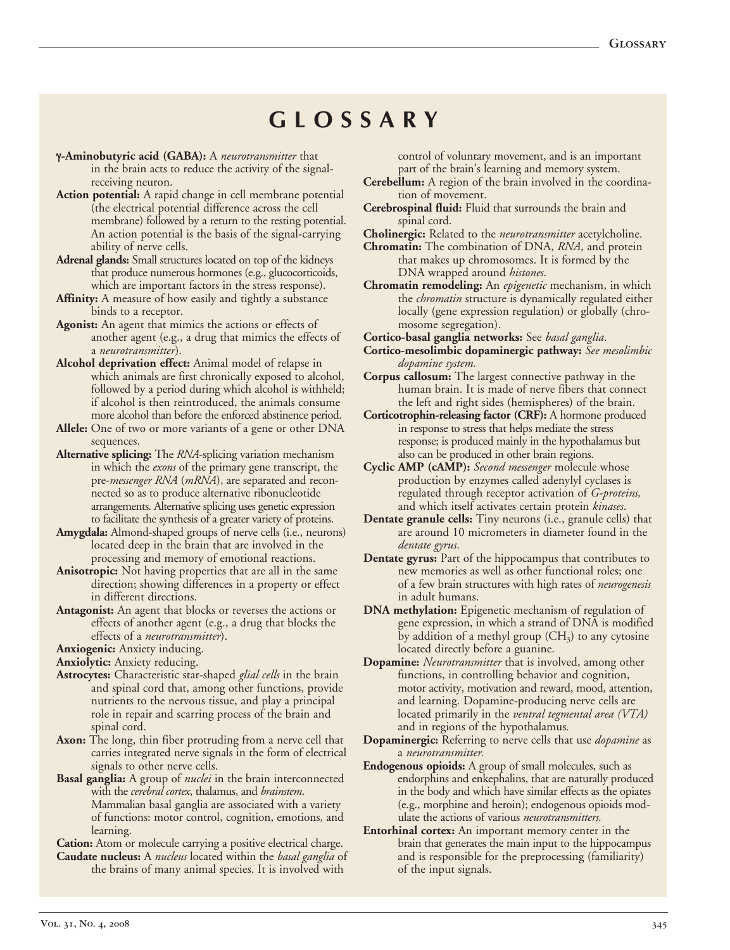## **G L O S S A R Y**

- γ**Aminobutyric acid (GABA):** A *neurotransmitter* that in the brain acts to reduce the activity of the signalreceiving neuron.
- **Action potential:** A rapid change in cell membrane potential (the electrical potential difference across the cell membrane) followed by a return to the resting potential. An action potential is the basis of the signal-carrying ability of nerve cells.
- **Adrenal glands:** Small structures located on top of the kidneys that produce numerous hormones (e.g., glucocorticoids, which are important factors in the stress response).
- Affinity: A measure of how easily and tightly a substance binds to a receptor.
- **Agonist:** An agent that mimics the actions or effects of another agent (e.g., a drug that mimics the effects of a *neurotransmitter*).
- **Alcohol deprivation effect:** Animal model of relapse in which animals are first chronically exposed to alcohol, followed by a period during which alcohol is withheld; if alcohol is then reintroduced, the animals consume more alcohol than before the enforced abstinence period.
- **Allele:** One of two or more variants of a gene or other DNA sequences.
- **Alternative splicing:** The *RNA*splicing variation mechanism in which the *exons* of the primary gene transcript, the pre*messenger RNA* (*mRNA*), are separated and reconnected so as to produce alternative ribonucleotide arrangements. Alternative splicing uses genetic expression to facilitate the synthesis of a greater variety of proteins.
- Amygdala: Almond-shaped groups of nerve cells (i.e., neurons) located deep in the brain that are involved in the processing and memory of emotional reactions.
- **Anisotropic:** Not having properties that are all in the same direction; showing differences in a property or effect in different directions.
- **Antagonist:** An agent that blocks or reverses the actions or effects of another agent (e.g., a drug that blocks the effects of a *neurotransmitter*).

**Anxiogenic:** Anxiety inducing.

**Anxiolytic:** Anxiety reducing.

- Astrocytes: Characteristic star-shaped *glial cells* in the brain and spinal cord that, among other functions, provide nutrients to the nervous tissue, and play a principal role in repair and scarring process of the brain and spinal cord.
- **Axon:** The long, thin fiber protruding from a nerve cell that carries integrated nerve signals in the form of electrical signals to other nerve cells.
- **Basal ganglia:** A group of *nuclei* in the brain interconnected with the *cerebral cortex*, thalamus, and *brainstem*. Mammalian basal ganglia are associated with a variety of functions: motor control, cognition, emotions, and learning.

**Cation:** Atom or molecule carrying a positive electrical charge.

**Caudate nucleus:** A *nucleus* located within the *basal ganglia* of the brains of many animal species. It is involved with

 control of voluntary movement, and is an important part of the brain's learning and memory system.

- **Cerebellum:** A region of the brain involved in the coordina-tion of movement.
- **Cerebrospinal fluid:** Fluid that surrounds the brain and spinal cord.

**Cholinergic:** Related to the *neurotransmitter* acetylcholine.

 **Chromatin:** The combination of DNA, *RNA*, and protein that makes up chromosomes. It is formed by the DNA wrapped around *histones*.

 **Chromatin remodeling:** An *epigenetic* mechanism, in which the *chromatin* structure is dynamically regulated either locally (gene expression regulation) or globally (chromosome segregation).

 **Corticobasal ganglia networks:** See *basal ganglia*.

**Cortico-mesolimbic dopaminergic pathway:** See mesolimbic *dopamine system.*

- **Corpus callosum:** The largest connective pathway in the human brain. It is made of nerve fibers that connect the left and right sides (hemispheres) of the brain.
- **Corticotrophin-releasing factor (CRF):** A hormone produced in response to stress that helps mediate the stress response; is produced mainly in the hypothalamus but also can be produced in other brain regions.
- **Cyclic AMP (cAMP):** *Second messenger* molecule whose production by enzymes called adenylyl cyclases is regulated through receptor activation of *G-proteins*, and which itself activates certain protein *kinases*.
- **Dentate granule cells:** Tiny neurons (i.e., granule cells) that are around 10 micrometers in diameter found in the *dentate gyrus*.
- **Dentate gyrus:** Part of the hippocampus that contributes to new memories as well as other functional roles; one of a few brain structures with high rates of *neurogenesis* in adult humans.
- **DNA methylation:** Epigenetic mechanism of regulation of gene expression, in which a strand of DNA is modified by addition of a methyl group  $(CH_3)$  to any cytosine located directly before a guanine.
- **Dopamine:** *Neurotransmitter* that is involved, among other functions, in controlling behavior and cognition, motor activity, motivation and reward, mood, attention, and learning. Dopamine-producing nerve cells are  located primarily in the *ventral tegmental area (VTA)* and in regions of the hypothalamus*.*

 **Dopaminergic:** Referring to nerve cells that use *dopamine* as a *neurotransmitter.*

- **Endogenous opioids:** A group of small molecules, such as endorphins and enkephalins, that are naturally produced in the body and which have similar effects as the opiates (e.g., morphine and heroin); endogenous opioids mod-ulate the actions of various *neurotransmitters.*
- **Entorhinal cortex:** An important memory center in the brain that generates the main input to the hippocampus and is responsible for the preprocessing (familiarity) of the input signals.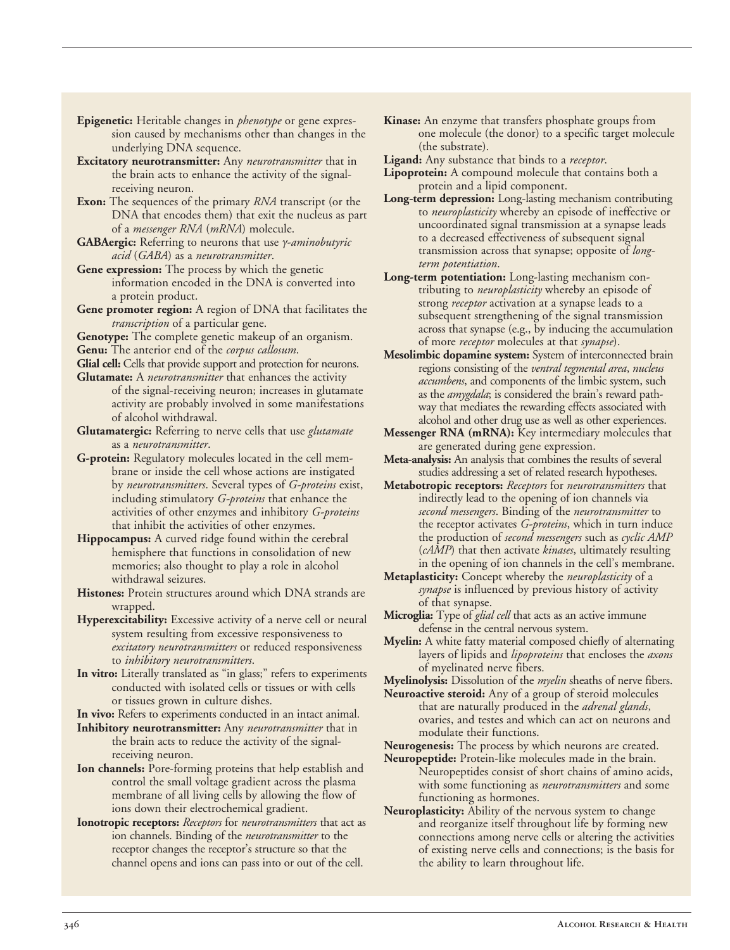- **Epigenetic:** Heritable changes in *phenotype* or gene expres- sion caused by mechanisms other than changes in the underlying DNA sequence.
- the brain acts to enhance the activity of the signal-**Excitatory neurotransmitter:** Any *neurotransmitter* that in receiving neuron.
- **Exon:** The sequences of the primary *RNA* transcript (or the DNA that encodes them) that exit the nucleus as part of a *messenger RNA* (*mRNA*) molecule.
- **GABAergic:** Referring to neurons that use <sup>γ</sup>*aminobutyric acid* (*GABA*) as a *neurotransmitter*.
- Gene expression: The process by which the genetic information encoded in the DNA is converted into a protein product.
- **Gene promoter region:** A region of DNA that facilitates the *transcription* of a particular gene.
- **Genotype:** The complete genetic makeup of an organism. **Genu:** The anterior end of the *corpus callosum*.
- **Glial cell:** Cells that provide support and protection for neurons.

 **Glutamate:** A *neurotransmitter* that enhances the activity of the signal-receiving neuron; increases in glutamate activity are probably involved in some manifestations of alcohol withdrawal.

- **Glutamatergic:** Referring to nerve cells that use *glutamate* as a *neurotransmitter*.
- G-protein: Regulatory molecules located in the cell mem- brane or inside the cell whose actions are instigated by *neurotransmitters*. Several types of *G-proteins* exist, including stimulatory *G-proteins* that enhance the activities of other enzymes and inhibitory *G-proteins* that inhibit the activities of other enzymes.
- **Hippocampus:** A curved ridge found within the cerebral hemisphere that functions in consolidation of new memories; also thought to play a role in alcohol withdrawal seizures.
- **Histones:** Protein structures around which DNA strands are wrapped.
- **Hyperexcitability:** Excessive activity of a nerve cell or neural system resulting from excessive responsiveness to *excitatory neurotransmitters* or reduced responsiveness to *inhibitory neurotransmitters*.
- **In vitro:** Literally translated as "in glass;" refers to experiments conducted with isolated cells or tissues or with cells or tissues grown in culture dishes.

**In vivo:** Refers to experiments conducted in an intact animal.

- the brain acts to reduce the activity of the signal-**Inhibitory neurotransmitter:** Any *neurotransmitter* that in receiving neuron.
- **Ion channels:** Pore-forming proteins that help establish and control the small voltage gradient across the plasma membrane of all living cells by allowing the flow of ions down their electrochemical gradient.
- **Ionotropic receptors:** *Receptors* for *neurotransmitters* that act as ion channels. Binding of the *neurotransmitter* to the receptor changes the receptor's structure so that the channel opens and ions can pass into or out of the cell.
- **Kinase:** An enzyme that transfers phosphate groups from one molecule (the donor) to a specific target molecule (the substrate).
- **Ligand:** Any substance that binds to a *receptor*.
- **Lipoprotein:** A compound molecule that contains both a protein and a lipid component.
- **Long-term depression:** Long-lasting mechanism contributing to *neuroplasticity* whereby an episode of ineffective or uncoordinated signal transmission at a synapse leads to a decreased effectiveness of subsequent signal transmission across that synapse; opposite of *longterm potentiation*.
- **Long-term potentiation:** Long-lasting mechanism con- tributing to *neuroplasticity* whereby an episode of strong *receptor* activation at a synapse leads to a subsequent strengthening of the signal transmission across that synapse (e.g., by inducing the accumulation of more *receptor* molecules at that *synapse*).
- **Mesolimbic dopamine system:** System of interconnected brain  regions consisting of the *ventral tegmental area*, *nucleus accumbens*, and components of the limbic system, such as the *amygdala*; is considered the brain's reward path- way that mediates the rewarding effects associated with alcohol and other drug use as well as other experiences.
- **Messenger RNA (mRNA):** Key intermediary molecules that are generated during gene expression.
- **Meta-analysis:** An analysis that combines the results of several studies addressing a set of related research hypotheses.
- **Metabotropic receptors:** *Receptors* for *neurotransmitters* that indirectly lead to the opening of ion channels via *second messengers*. Binding of the *neurotransmitter* to receptor activates G-proteins, which in turn production of second messengers such as (*cAMP*) that then activate *kinases*, ultimately resulting in the opening of ion channels in the cell's membrane. the receptor activates *G-proteins*, which in turn induce the production of *second messengers* such as *cyclic AMP*
- **Metaplasticity:** Concept whereby the *neuroplasticity* of a *synapse* is influenced by previous history of activity of that synapse.
- **Microglia:** Type of *glial cell* that acts as an active immune defense in the central nervous system.
- **Myelin:** A white fatty material composed chiefly of alternating layers of lipids and *lipoproteins* that encloses the *axons* of myelinated nerve fibers.

**Myelinolysis:** Dissolution of the *myelin* sheaths of nerve fibers.

 **Neuroactive steroid:** Any of a group of steroid molecules that are naturally produced in the *adrenal glands*, ovaries, and testes and which can act on neurons and modulate their functions.

**Neurogenesis:** The process by which neurons are created.

- Neuropeptide: Protein-like molecules made in the brain. Neuropeptides consist of short chains of amino acids, with some functioning as *neurotransmitters* and some functioning as hormones.
- **Neuroplasticity:** Ability of the nervous system to change and reorganize itself throughout life by forming new connections among nerve cells or altering the activities of existing nerve cells and connections; is the basis for the ability to learn throughout life.